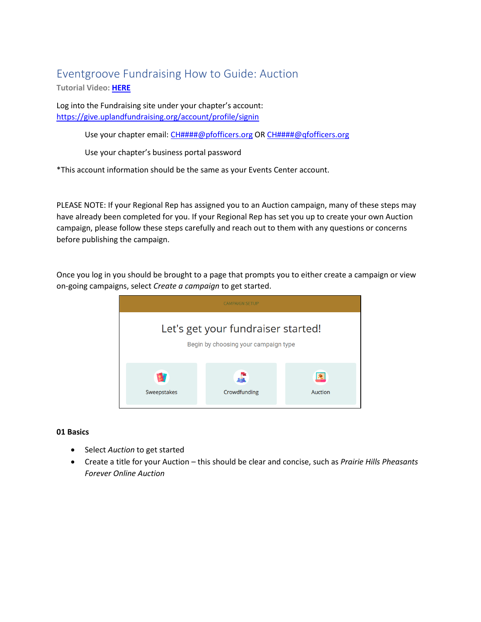# Eventgroove Fundraising How to Guide: Auction

**Tutorial Video: [HERE](https://www.youtube.com/playlist?list=PLoOX_tNUo44Ok50mTREygXc7nK3NTZcpn)**

Log into the Fundraising site under your chapter's account: <https://give.uplandfundraising.org/account/profile/signin>

Use your chapter email: [CH####@pfofficers.org](mailto:CH#) OR [CH####@qfofficers.org](mailto:CH#)

Use your chapter's business portal password

\*This account information should be the same as your Events Center account.

PLEASE NOTE: If your Regional Rep has assigned you to an Auction campaign, many of these steps may have already been completed for you. If your Regional Rep has set you up to create your own Auction campaign, please follow these steps carefully and reach out to them with any questions or concerns before publishing the campaign.

Once you log in you should be brought to a page that prompts you to either create a campaign or view on-going campaigns, select *Create a campaign* to get started.



## **01 Basics**

- Select *Auction* to get started
- Create a title for your Auction this should be clear and concise, such as *Prairie Hills Pheasants Forever Online Auction*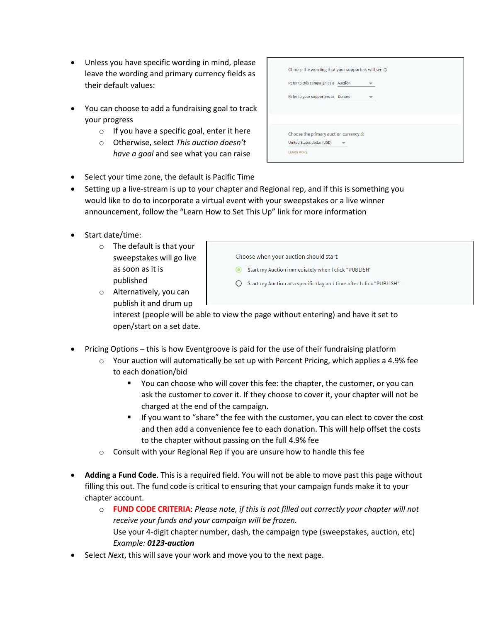- Unless you have specific wording in mind, please leave the wording and primary currency fields as their default values:
- You can choose to add a fundraising goal to track your progress
	- $\circ$  If you have a specific goal, enter it here
	- o Otherwise, select *This auction doesn't have a goal* and see what you can raise

| Choose the wording that your supporters will see $\odot$ |        |  |
|----------------------------------------------------------|--------|--|
| Refer to this campaign as a Auction                      |        |  |
| Refer to your supporters as                              | Donors |  |
|                                                          |        |  |
|                                                          |        |  |
| Choose the primary auction currency $\odot$              |        |  |
| United States dollar (USD)                               |        |  |

- Select your time zone, the default is Pacific Time
- Setting up a live-stream is up to your chapter and Regional rep, and if this is something you would like to do to incorporate a virtual event with your sweepstakes or a live winner announcement, follow the "Learn How to Set This Up" link for more information
- Start date/time:
	- o The default is that your sweepstakes will go live as soon as it is published

| Choose when your auction should start |  |
|---------------------------------------|--|
|---------------------------------------|--|

- Start my Auction immediately when I click "PUBLISH"
- Start my Auction at a specific day and time after I click "PUBLISH"
- o Alternatively, you can publish it and drum up

interest (people will be able to view the page without entering) and have it set to open/start on a set date.

- Pricing Options this is how Eventgroove is paid for the use of their fundraising platform
	- $\circ$  Your auction will automatically be set up with Percent Pricing, which applies a 4.9% fee to each donation/bid
		- You can choose who will cover this fee: the chapter, the customer, or you can ask the customer to cover it. If they choose to cover it, your chapter will not be charged at the end of the campaign.
		- If you want to "share" the fee with the customer, you can elect to cover the cost and then add a convenience fee to each donation. This will help offset the costs to the chapter without passing on the full 4.9% fee
	- o Consult with your Regional Rep if you are unsure how to handle this fee
- **Adding a Fund Code**. This is a required field. You will not be able to move past this page without filling this out. The fund code is critical to ensuring that your campaign funds make it to your chapter account.
	- o **FUND CODE CRITERIA**: *Please note, if this is not filled out correctly your chapter will not receive your funds and your campaign will be frozen.*  Use your 4-digit chapter number, dash, the campaign type (sweepstakes, auction, etc) *Example: 0123-auction*
- Select *Next*, this will save your work and move you to the next page.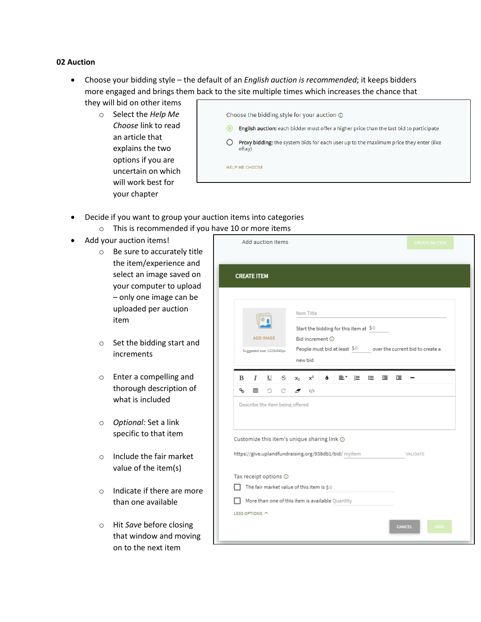## **02 Auction**

- Choose your bidding style the default of an *English auction is recommended*; it keeps bidders more engaged and brings them back to the site multiple times which increases the chance that they will bid on other items
	- o Select the *Help Me Choose* link to read an article that explains the two options if you are uncertain on which will work best for your chapter

|     | Choose the bidding style for your auction $\odot$                                                     |
|-----|-------------------------------------------------------------------------------------------------------|
| ( O | English auction: each bidder must offer a higher price than the last bid to participate               |
|     | <b>Proxy bidding:</b> the system bids for each user up to the maximum price they enter (like<br>eBay) |
|     | <b>HELP ME CHOOSE</b>                                                                                 |

- Decide if you want to group your auction items into categories
	- o This is recommended if you have 10 or more items
- Add your auction items!
	- o Be sure to accurately title the item/experience and select an image saved on your computer to upload – only one image can be uploaded per auction item
	- o Set the bidding start and increments
	- o Enter a compelling and thorough description of what is included
	- o *Optional:* Set a link specific to that item
	- o Include the fair market value of the item(s)
	- o Indicate if there are more than one available
	- o Hit *Save* before closing that window and moving on to the next item

| Add auction items                                                                            | <b>CREATE AN ITEM</b>                                                                                                                                |
|----------------------------------------------------------------------------------------------|------------------------------------------------------------------------------------------------------------------------------------------------------|
| <b>CREATE ITEM</b>                                                                           |                                                                                                                                                      |
| ADD IMAGE<br>Suggested size: 1125x840px                                                      | Item Title<br>Start the bidding for this item at \$0<br>Bid increment (<br>People must bid at least $$0$ over the current bid to create a<br>new bid |
| I<br>$\underline{U}$ $\xi$ $x_2$<br>B<br>ዔ<br>用<br>n<br>C<br>Describe the item being offered | $x^2$<br>ξ≣<br>這<br>彊<br>這<br>۰<br>≣۳<br>$\langle$ /><br>F,                                                                                          |
| Customize this item's unique sharing link @                                                  | https://give.uplandfundraising.org/938db1/bid/ myitem<br>VALIDATE                                                                                    |
| Tax receipt options @<br>The fair market value of this item is \$0                           | More than one of this item is available Quantity                                                                                                     |
| LESS OPTIONS ^                                                                               | <b>CANCEL</b><br><b>SAVE</b>                                                                                                                         |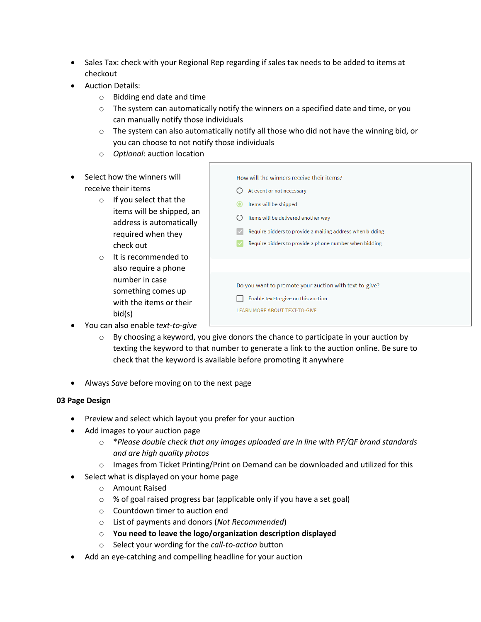- Sales Tax: check with your Regional Rep regarding if sales tax needs to be added to items at checkout
- Auction Details:
	- o Bidding end date and time
	- $\circ$  The system can automatically notify the winners on a specified date and time, or you can manually notify those individuals
	- $\circ$  The system can also automatically notify all those who did not have the winning bid, or you can choose to not notify those individuals
	- o *Optional*: auction location
- Select how the winners will receive their items
	- o If you select that the items will be shipped, an address is automatically required when they check out
	- o It is recommended to also require a phone number in case something comes up with the items or their bid(s)

| How will the winners receive their items?                 |  |
|-----------------------------------------------------------|--|
| At event or not necessary                                 |  |
| Items will be shipped<br>О                                |  |
| Items will be delivered another way                       |  |
| Require bidders to provide a mailing address when bidding |  |
| Require bidders to provide a phone number when bidding    |  |
|                                                           |  |
|                                                           |  |
| Do you want to promote your auction with text-to-give?    |  |
| Enable text-to-give on this auction                       |  |
| <b>LEARN MORE ABOUT TEXT-TO-GIVE</b>                      |  |
|                                                           |  |

- You can also enable *text-to-give*
	- $\circ$  By choosing a keyword, you give donors the chance to participate in your auction by texting the keyword to that number to generate a link to the auction online. Be sure to check that the keyword is available before promoting it anywhere
- Always *Save* before moving on to the next page

# **03 Page Design**

- Preview and select which layout you prefer for your auction
- Add images to your auction page
	- o \**Please double check that any images uploaded are in line with PF/QF brand standards and are high quality photos*
	- $\circ$  Images from Ticket Printing/Print on Demand can be downloaded and utilized for this
- Select what is displayed on your home page
	- o Amount Raised
	- o % of goal raised progress bar (applicable only if you have a set goal)
	- o Countdown timer to auction end
	- o List of payments and donors (*Not Recommended*)
	- o **You need to leave the logo/organization description displayed**
	- o Select your wording for the *call-to-action* button
- Add an eye-catching and compelling headline for your auction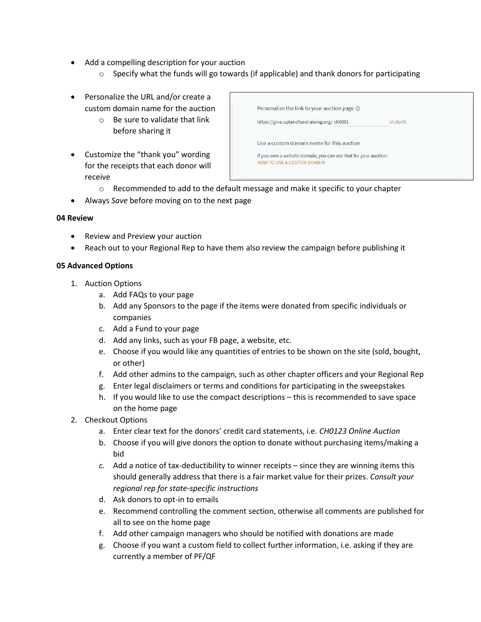- Add a compelling description for your auction
	- o Specify what the funds will go towards (if applicable) and thank donors for participating
- Personalize the URL and/or create a custom domain name for the auction
	- o Be sure to validate that link before sharing it
- Customize the "thank you" wording for the receipts that each donor will receive

| Personalize the link to your auction page $\odot$<br>https://give.uplandfundraising.org/ch0001       | VAI IDATE |
|------------------------------------------------------------------------------------------------------|-----------|
| Use a custom domain name for this auction                                                            |           |
| If you own a website domain, you can use that for your auction:<br><b>HOW TO USE A CUSTOM DOMAIN</b> |           |

- $\circ$  Recommended to add to the default message and make it specific to your chapter
- Always *Save* before moving on to the next page

### **04 Review**

- Review and Preview your auction
- Reach out to your Regional Rep to have them also review the campaign before publishing it

### **05 Advanced Options**

- 1. Auction Options
	- a. Add FAQs to your page
	- b. Add any Sponsors to the page if the items were donated from specific individuals or companies
	- c. Add a Fund to your page
	- d. Add any links, such as your FB page, a website, etc.
	- e. Choose if you would like any quantities of entries to be shown on the site (sold, bought, or other)
	- f. Add other admins to the campaign, such as other chapter officers and your Regional Rep
	- g. Enter legal disclaimers or terms and conditions for participating in the sweepstakes
	- h. If you would like to use the compact descriptions this is recommended to save space on the home page
- 2. Checkout Options
	- a. Enter clear text for the donors' credit card statements, i.e. *CH0123 Online Auction*
	- b. Choose if you will give donors the option to donate without purchasing items/making a bid
	- *c.* Add a notice of tax-deductibility to winner receipts since they are winning items this should generally address that there is a fair market value for their prizes. *Consult your regional rep for state-specific instructions*
	- d. Ask donors to opt-in to emails
	- e. Recommend controlling the comment section, otherwise all comments are published for all to see on the home page
	- f. Add other campaign managers who should be notified with donations are made
	- g. Choose if you want a custom field to collect further information, i.e. asking if they are currently a member of PF/QF